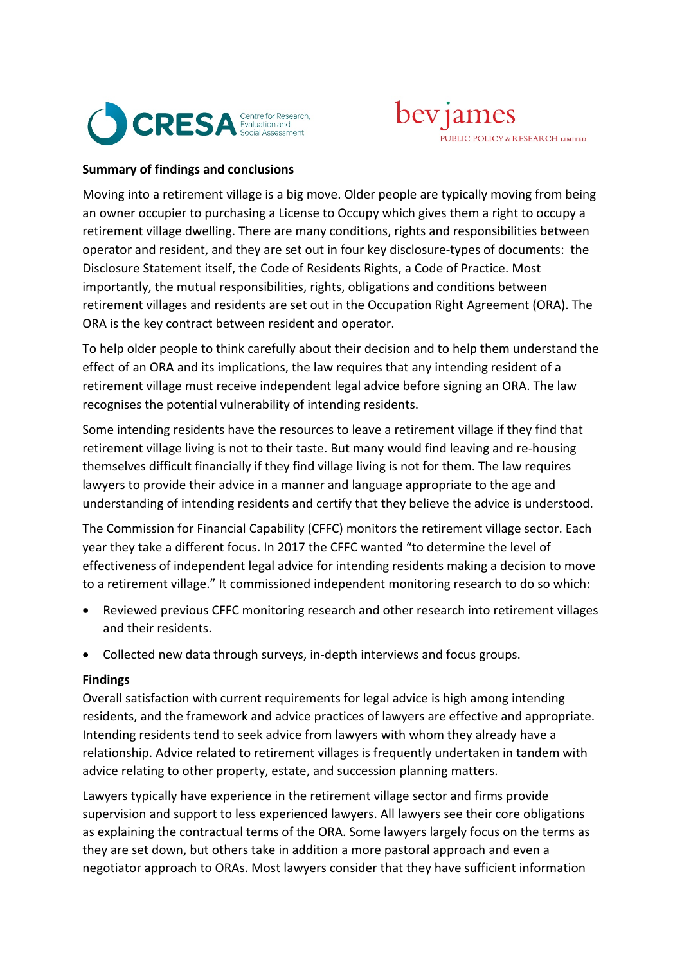



## **Summary of findings and conclusions**

Moving into a retirement village is a big move. Older people are typically moving from being an owner occupier to purchasing a License to Occupy which gives them a right to occupy a retirement village dwelling. There are many conditions, rights and responsibilities between operator and resident, and they are set out in four key disclosure-types of documents: the Disclosure Statement itself, the Code of Residents Rights, a Code of Practice. Most importantly, the mutual responsibilities, rights, obligations and conditions between retirement villages and residents are set out in the Occupation Right Agreement (ORA). The ORA is the key contract between resident and operator.

To help older people to think carefully about their decision and to help them understand the effect of an ORA and its implications, the law requires that any intending resident of a retirement village must receive independent legal advice before signing an ORA. The law recognises the potential vulnerability of intending residents.

Some intending residents have the resources to leave a retirement village if they find that retirement village living is not to their taste. But many would find leaving and re-housing themselves difficult financially if they find village living is not for them. The law requires lawyers to provide their advice in a manner and language appropriate to the age and understanding of intending residents and certify that they believe the advice is understood.

The Commission for Financial Capability (CFFC) monitors the retirement village sector. Each year they take a different focus. In 2017 the CFFC wanted "to determine the level of effectiveness of independent legal advice for intending residents making a decision to move to a retirement village." It commissioned independent monitoring research to do so which:

- Reviewed previous CFFC monitoring research and other research into retirement villages and their residents.
- Collected new data through surveys, in-depth interviews and focus groups.

## **Findings**

Overall satisfaction with current requirements for legal advice is high among intending residents, and the framework and advice practices of lawyers are effective and appropriate. Intending residents tend to seek advice from lawyers with whom they already have a relationship. Advice related to retirement villages is frequently undertaken in tandem with advice relating to other property, estate, and succession planning matters.

Lawyers typically have experience in the retirement village sector and firms provide supervision and support to less experienced lawyers. All lawyers see their core obligations as explaining the contractual terms of the ORA. Some lawyers largely focus on the terms as they are set down, but others take in addition a more pastoral approach and even a negotiator approach to ORAs. Most lawyers consider that they have sufficient information